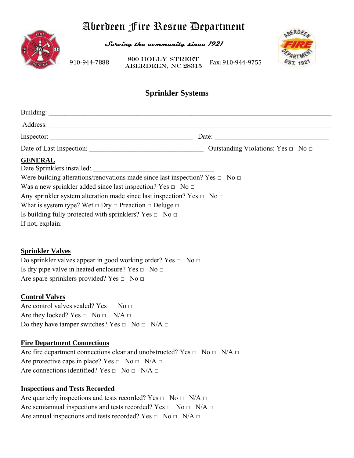# Aberdeen Fire Rescue Department



**Serving the community since 1921** 

910‐944‐7888 **ABERDEEN, NC 28315** Fax: 910‐944‐9755 800 Holly Street



# **Sprinkler Systems**

| Building:                                                                              |                                              |
|----------------------------------------------------------------------------------------|----------------------------------------------|
| Address:                                                                               |                                              |
| Inspector:                                                                             | Date:                                        |
| Date of Last Inspection:                                                               | Outstanding Violations: Yes $\Box$ No $\Box$ |
| <b>GENERAL</b>                                                                         |                                              |
| Date Sprinklers installed:                                                             |                                              |
| Were building alterations/renovations made since last inspection? Yes $\Box$ No $\Box$ |                                              |
| Was a new sprinkler added since last inspection? Yes $\Box$ No $\Box$                  |                                              |
| Any sprinkler system alteration made since last inspection? Yes $\Box$ No $\Box$       |                                              |
| What is system type? Wet $\Box$ Dry $\Box$ Preaction $\Box$ Deluge $\Box$              |                                              |
| Is building fully protected with sprinklers? Yes $\Box$ No $\Box$                      |                                              |
| If not, explain:                                                                       |                                              |
|                                                                                        |                                              |

## **Sprinkler Valves**

Do sprinkler valves appear in good working order? Yes  $\Box$  No  $\Box$ Is dry pipe valve in heated enclosure? Yes  $\Box$  No  $\Box$ Are spare sprinklers provided? Yes  $\Box$  No  $\Box$ 

#### **Control Valves**

Are control valves sealed? Yes  $\Box$  No  $\Box$ Are they locked? Yes  $\Box$  No  $\Box$  N/A  $\Box$ Do they have tamper switches? Yes  $\Box$  No  $\Box$  N/A  $\Box$ 

#### **Fire Department Connections**

Are fire department connections clear and unobstructed? Yes  $\Box$  No  $\Box$  N/A  $\Box$ Are protective caps in place? Yes  $\Box$  No  $\Box$  N/A  $\Box$ Are connections identified? Yes  $\Box$  No  $\Box$  N/A  $\Box$ 

## **Inspections and Tests Recorded**

Are quarterly inspections and tests recorded? Yes  $\Box$  No  $\Box$  N/A  $\Box$ Are semiannual inspections and tests recorded? Yes  $\Box$  No  $\Box$  N/A  $\Box$ Are annual inspections and tests recorded? Yes  $\Box$  No  $\Box$  N/A  $\Box$